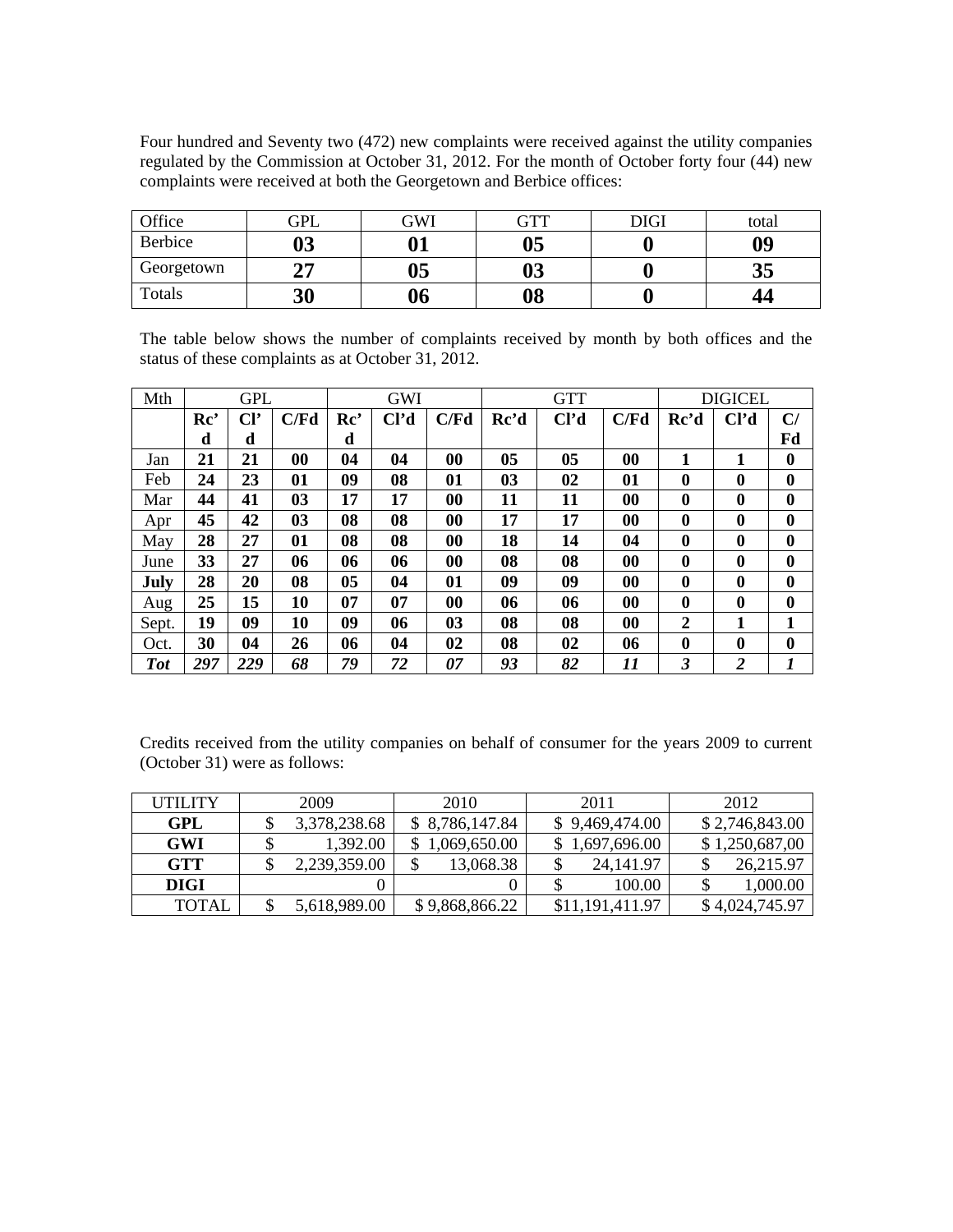Four hundred and Seventy two (472) new complaints were received against the utility companies regulated by the Commission at October 31, 2012. For the month of October forty four (44) new complaints were received at both the Georgetown and Berbice offices:

| Office     | GPL       | GWI | GTT | DIGI | total |
|------------|-----------|-----|-----|------|-------|
| Berbice    | ሰኅ<br>UJ  | Λ1  | 05  |      | 09    |
| Georgetown | $\bigcap$ | 05  | 03  |      | ບ∪    |
| Totals     | 30        | 06  | 08  | ν    | 44    |

The table below shows the number of complaints received by month by both offices and the status of these complaints as at October 31, 2012.

| Mth        |                 | <b>GPL</b>      |      | GWI |                   |                   |                | <b>GTT</b>        | <b>DIGICEL</b> |              |                   |          |
|------------|-----------------|-----------------|------|-----|-------------------|-------------------|----------------|-------------------|----------------|--------------|-------------------|----------|
|            | Re <sup>2</sup> | Cl <sup>2</sup> | C/Fd | Rc' | Cl <sup>7</sup> d | C/Fd              | Rc'd           | Cl <sup>2</sup> d | C/Fd           | Rc'd         | Cl <sup>7</sup> d | C/       |
|            | d               | d               |      | d   |                   |                   |                |                   |                |              |                   | Fd       |
| Jan        | 21              | 21              | 00   | 04  | 04                | 00                | 0 <sub>5</sub> | 05                | 00             | 1            |                   | $\bf{0}$ |
| Feb        | 24              | 23              | 01   | 09  | 08                | 01                | 03             | 02                | 01             | $\bf{0}$     | 0                 | $\bf{0}$ |
| Mar        | 44              | 41              | 03   | 17  | 17                | $\bf{00}$         | 11             | 11                | 00             | 0            | $\bf{0}$          | $\bf{0}$ |
| Apr        | 45              | 42              | 03   | 08  | 08                | $\boldsymbol{00}$ | 17             | 17                | 00             | $\mathbf{0}$ | $\bf{0}$          | 0        |
| May        | 28              | 27              | 01   | 08  | 08                | $\boldsymbol{00}$ | 18             | 14                | 04             | $\mathbf{0}$ | $\bf{0}$          | 0        |
| June       | 33              | 27              | 06   | 06  | 06                | 00                | 08             | 08                | 00             | $\bf{0}$     | $\bf{0}$          | 0        |
| July       | 28              | 20              | 08   | 05  | 04                | 01                | 09             | 09                | 00             | $\mathbf{0}$ | $\bf{0}$          | $\bf{0}$ |
| Aug        | 25              | 15              | 10   | 07  | 07                | 00                | 06             | 06                | $\bf{00}$      | $\mathbf{0}$ | 0                 | 0        |
| Sept.      | 19              | 09              | 10   | 09  | 06                | 03                | 08             | 08                | 00             | 2            | 1                 | 1        |
| Oct.       | 30              | 04              | 26   | 06  | 04                | 02                | 08             | 02                | 06             | $\mathbf{0}$ | $\bf{0}$          | $\bf{0}$ |
| <b>Tot</b> | 297             | 229             | 68   | 79  | 72                | 07                | 93             | 82                | 11             | 3            | 2                 |          |

Credits received from the utility companies on behalf of consumer for the years 2009 to current (October 31) were as follows:

| UTILITY      | 2009         | 2010           | 2011            | 2012           |
|--------------|--------------|----------------|-----------------|----------------|
| GPL          | 3,378,238.68 | \$8,786,147.84 | \$9,469,474.00  | \$2,746,843.00 |
| <b>GWI</b>   | 1,392.00     | \$1,069,650.00 | \$1,697,696.00  | \$1,250,687,00 |
| <b>GTT</b>   | 2,239,359.00 | 13,068.38      | 24,141.97       | 26,215.97      |
| DIGI         |              |                | 100.00          | 1,000.00       |
| <b>TOTAL</b> | 5,618,989.00 | \$9,868,866.22 | \$11,191,411.97 | \$4,024,745.97 |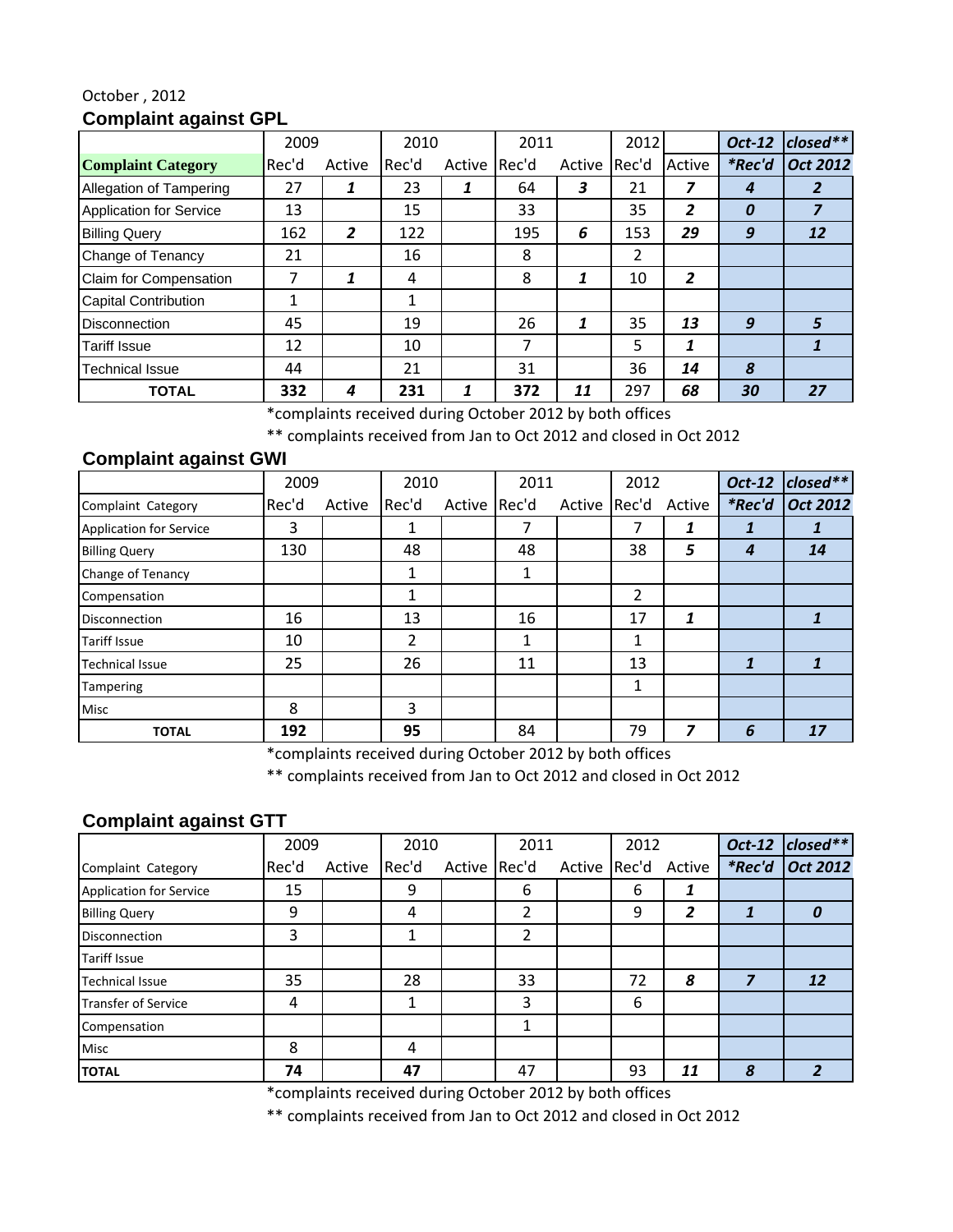#### October , 2012 **Complaint against GPL**

|                                | 2009  |        | 2010  |        | 2011  |        | 2012           |                | Oct-12           | $close^{**}$    |
|--------------------------------|-------|--------|-------|--------|-------|--------|----------------|----------------|------------------|-----------------|
| <b>Complaint Category</b>      | Rec'd | Active | Rec'd | Active | Rec'd | Active | Rec'd          | Active         | <i>*Rec'd</i>    | <b>Oct 2012</b> |
| Allegation of Tampering        | 27    | 1      | 23    |        | 64    | 3      | 21             |                | 4                | 2               |
| <b>Application for Service</b> | 13    |        | 15    |        | 33    |        | 35             | 2              | $\boldsymbol{0}$ |                 |
| <b>Billing Query</b>           | 162   | 2      | 122   |        | 195   | 6      | 153            | 29             | 9                | 12              |
| Change of Tenancy              | 21    |        | 16    |        | 8     |        | $\overline{2}$ |                |                  |                 |
| Claim for Compensation         | 7     | 1      | 4     |        | 8     | 1      | 10             | $\overline{2}$ |                  |                 |
| <b>Capital Contribution</b>    | 1     |        | 1     |        |       |        |                |                |                  |                 |
| <b>Disconnection</b>           | 45    |        | 19    |        | 26    | 1      | 35             | 13             | 9                | 5               |
| <b>Tariff Issue</b>            | 12    |        | 10    |        | ⇁     |        | 5              |                |                  |                 |
| <b>Technical Issue</b>         | 44    |        | 21    |        | 31    |        | 36             | 14             | 8                |                 |
| <b>TOTAL</b>                   | 332   | 4      | 231   | ٠      | 372   | 11     | 297            | 68             | 30               | 27              |

\*complaints received during October 2012 by both offices

\*\* complaints received from Jan to Oct 2012 and closed in Oct 2012

### **Complaint against GWI**

|                                | 2009  |        | 2010           |              | 2011 |              | 2012 |        | Oct-12 | $\vert$ closed** |
|--------------------------------|-------|--------|----------------|--------------|------|--------------|------|--------|--------|------------------|
| Complaint Category             | Rec'd | Active | Rec'd          | Active Rec'd |      | Active Rec'd |      | Active | *Rec'd | Oct 2012         |
| <b>Application for Service</b> | 3     |        | ┻              |              |      |              |      |        |        |                  |
| <b>Billing Query</b>           | 130   |        | 48             |              | 48   |              | 38   | 5      | 4      | 14               |
| Change of Tenancy              |       |        | 1              |              | 1    |              |      |        |        |                  |
| Compensation                   |       |        | 1              |              |      |              | 2    |        |        |                  |
| <b>Disconnection</b>           | 16    |        | 13             |              | 16   |              | 17   | 1      |        |                  |
| <b>Tariff Issue</b>            | 10    |        | $\overline{2}$ |              |      |              | 1    |        |        |                  |
| <b>Technical Issue</b>         | 25    |        | 26             |              | 11   |              | 13   |        | 1      |                  |
| Tampering                      |       |        |                |              |      |              | 1    |        |        |                  |
| <b>Misc</b>                    | 8     |        | 3              |              |      |              |      |        |        |                  |
| <b>TOTAL</b>                   | 192   |        | 95             |              | 84   |              | 79   | 7      | 6      | 17               |

\*complaints received during October 2012 by both offices

\*\* complaints received from Jan to Oct 2012 and closed in Oct 2012

# **Complaint against GTT**

|                                | 2009  |        | 2010  |              | 2011 |              | 2012 |        | Oct-12        | $\vert$ closed** $\vert$ |
|--------------------------------|-------|--------|-------|--------------|------|--------------|------|--------|---------------|--------------------------|
| Complaint Category             | Rec'd | Active | Rec'd | Active Rec'd |      | Active Rec'd |      | Active | <i>*Rec'd</i> | Oct 2012                 |
| <b>Application for Service</b> | 15    |        | 9     |              | 6    |              | 6    |        |               |                          |
| <b>Billing Query</b>           | 9     |        | 4     |              | ว    |              | 9    | 2      | 1             | O                        |
| <b>Disconnection</b>           | 3     |        |       |              | 2    |              |      |        |               |                          |
| <b>Tariff Issue</b>            |       |        |       |              |      |              |      |        |               |                          |
| <b>Technical Issue</b>         | 35    |        | 28    |              | 33   |              | 72   | 8      | 7             | 12                       |
| <b>Transfer of Service</b>     | 4     |        | 1     |              | 3    |              | 6    |        |               |                          |
| Compensation                   |       |        |       |              |      |              |      |        |               |                          |
| Misc                           | 8     |        | 4     |              |      |              |      |        |               |                          |
| <b>TOTAL</b>                   | 74    |        | 47    |              | 47   |              | 93   | 11     | 8             |                          |

\*complaints received during October 2012 by both offices

\*\* complaints received from Jan to Oct 2012 and closed in Oct 2012